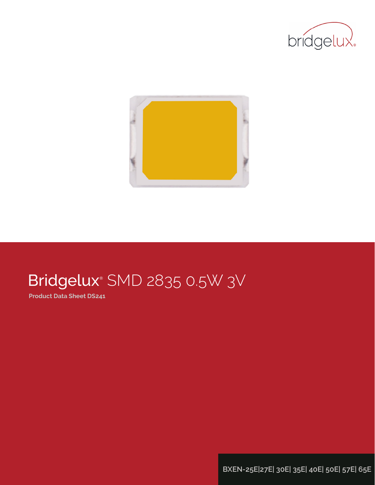



# Bridgelux® SMD 2835 0.5W 3V

**Product Data Sheet DS241**

**BXEN-25E|27E| 30E| 35E| 40E| 50E| 57E| 65E**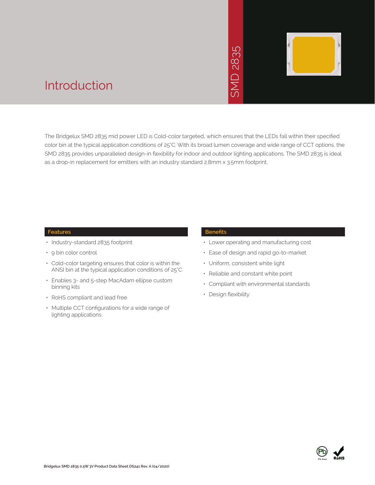# 2835 SMD 2835  $\overline{\bigcap}$ JINS



### Introduction

The Bridgelux SMD 2835 mid power LED is Cold-color targeted, which ensures that the LEDs fall within their specified color bin at the typical application conditions of 25°C. With its broad lumen coverage and wide range of CCT options, the SMD 2835 provides unparalleled design-in flexibility for indoor and outdoor lighting applications. The SMD 2835 is ideal as a drop-in replacement for emitters with an industry standard 2.8mm x 3.5mm footprint.

#### **Features**

- Industry-standard 2835 footprint
- 9 bin color control
- Cold-color targeting ensures that color is within the ANSI bin at the typical application conditions of 25°C
- Enables 3- and 5-step MacAdam ellipse custom binning kits
- RoHS compliant and lead free
- Multiple CCT configurations for a wide range of lighting applications

#### **Benefits**

- Lower operating and manufacturing cost
- Ease of design and rapid go-to-market
- Uniform, consistent white light
- Reliable and constant white point
- Compliant with environmental standards
- Design flexibility

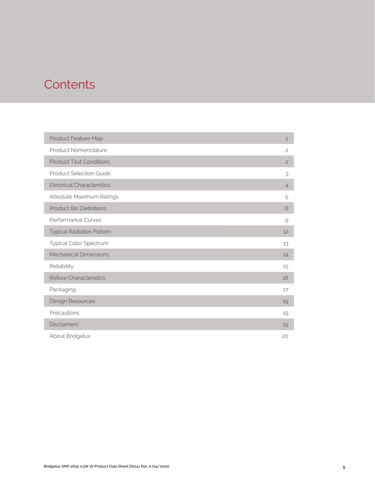### **Contents**

| Product Feature Map               | $\overline{c}$ |
|-----------------------------------|----------------|
| Product Nomenclature              | $\overline{c}$ |
| <b>Product Test Conditions</b>    | $\overline{c}$ |
| <b>Product Selection Guide</b>    | 3              |
| <b>Electrical Characteristics</b> | $\overline{4}$ |
| Absolute Maximum Ratings          | 5              |
| <b>Product Bin Definitions</b>    | 6              |
| Performance Curves                | 9              |
| <b>Typical Radiation Pattern</b>  | 12             |
| Typical Color Spectrum            | 13             |
| <b>Mechanical Dimensions</b>      | 14             |
| Reliability                       | 15             |
| <b>Reflow Characteristics</b>     | 16             |
| Packaging                         | 17             |
| Design Resources                  | 19             |
| Precautions                       | 19             |
| <b>Disclaimers</b>                | 19             |
| About Bridgelux                   | 20             |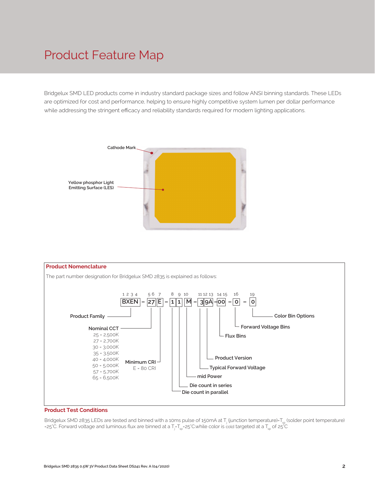### Product Feature Map

Bridgelux SMD LED products come in industry standard package sizes and follow ANSI binning standards. These LEDs are optimized for cost and performance, helping to ensure highly competitive system lumen per dollar performance while addressing the stringent efficacy and reliability standards required for modern lighting applications.





#### **Product Test Conditions**

Bridgelux SMD 2835 LEDs are tested and binned with a 10ms pulse of 150mA at T<sub>j</sub> (junction temperature)=T<sub>sp</sub> (solder point temperature) =25°C. Forward voltage and luminous flux are binned at a T<sub>j</sub>-T<sub>sp</sub>=25°C.while color is cold targeted at a T<sub>sp</sub> of 25°C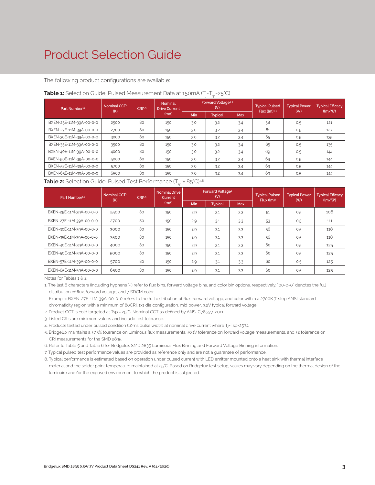### Product Selection Guide

The following product configurations are available:

| <b>Table 1:</b> Selection Guide, Pulsed Measurement Data at 150mA (T $_{\parallel}$ =T $_{\rm{sp}}$ =25°C) |  |
|------------------------------------------------------------------------------------------------------------|--|
|------------------------------------------------------------------------------------------------------------|--|

| Part Number <sup>1,6</sup> | Nominal CCT <sup>2</sup><br>CRI3.5<br>(K) |    | <b>Nominal</b><br><b>Drive Current</b> |            | <b>Forward Voltage4.5</b><br>(V) |            | <b>Typical Pulsed</b><br>$Flux$ (lm) $4.5$ | <b>Typical Power</b><br>(W) | <b>Typical Efficacy</b><br>$\langle \text{Im}/\text{W} \rangle$ |  |
|----------------------------|-------------------------------------------|----|----------------------------------------|------------|----------------------------------|------------|--------------------------------------------|-----------------------------|-----------------------------------------------------------------|--|
|                            |                                           |    | (mA)                                   | <b>Min</b> | <b>Typical</b>                   | <b>Max</b> |                                            |                             |                                                                 |  |
| BXEN-25E-11M-39A-00-0-0    | 2500                                      | 80 | 150                                    | 3.0        | 3.2                              | 3.4        | 58                                         | 0.5                         | 121                                                             |  |
| BXEN-27E-11M-39A-00-0-0    | 2700                                      | 80 | 150                                    | 3.0        | 3.2                              | 3.4        | 61                                         | 0.5                         | 127                                                             |  |
| BXEN-30E-11M-39A-00-0-0    | 3000                                      | 80 | 150                                    | 3.0        | 3.2                              | 3.4        | 65                                         | 0.5                         | 135                                                             |  |
| BXEN-35E-11M-39A-00-0-0    | 3500                                      | 80 | 150                                    | 3.0        | 3.2                              | 3.4        | 65                                         | 0.5                         | 135                                                             |  |
| BXEN-40E-11M-39A-00-0-0    | 4000                                      | 80 | 150                                    | 3.0        | 3.2                              | 3.4        | 69                                         | 0.5                         | 144                                                             |  |
| BXEN-50E-11M-39A-00-0-0    | 5000                                      | 80 | 150                                    | 3.0        | 3.2                              | 3.4        | 69                                         | 0.5                         | 144                                                             |  |
| BXEN-57E-11M-39A-00-0-0    | 5700                                      | 80 | 150                                    | 3.0        | 3.2                              | 3.4        | 69                                         | 0.5                         | 144                                                             |  |
| BXEN-65E-11M-39A-00-0-0    | 6500                                      | 80 | 150                                    | 3.0        | 3.2                              | 3.4        | 69                                         | 0.5                         | 144                                                             |  |

#### **Table 2:** Selection Guide, Pulsed Test Performance (T<sub>sp</sub> = 85°C)<sup>7,8</sup>

| Part Number <sup>1,6</sup> | Nominal CCT <sup>2</sup><br>(K) | CR <sup>3.5</sup> | <b>Nominal Drive</b><br>Current |     | Forward Voltage <sup>5</sup><br>(V) |            | <b>Typical Pulsed</b><br>Flux (lm) <sup>5</sup> | <b>Typical Power</b> | <b>Typical Efficacy</b><br>$\frac{1}{2}$ |  |
|----------------------------|---------------------------------|-------------------|---------------------------------|-----|-------------------------------------|------------|-------------------------------------------------|----------------------|------------------------------------------|--|
|                            |                                 |                   | (mA)                            | Min | <b>Typical</b>                      | <b>Max</b> |                                                 | (W)                  |                                          |  |
| BXEN-25E-11M-39A-00-0-0    | 2500                            | 80                | 150                             | 2.9 | 3.1                                 | 3.3        | 51                                              | 0.5                  | 106                                      |  |
| BXEN-27E-11M-39A-00-0-0    | 2700                            | 80                | 150                             | 2.9 | 3.1                                 | 3.3        | 53                                              | 0.5                  | 111                                      |  |
| BXEN-30E-11M-39A-00-0-0    | 3000                            | 80                | 150                             | 2.9 | 3.1                                 | 3.3        | 56                                              | 0.5                  | 118                                      |  |
| BXEN-35E-11M-39A-00-0-0    | 3500                            | 80                | 150                             | 2.9 | 3.1                                 | 3.3        | 56                                              | 0.5                  | 118                                      |  |
| BXEN-40E-11M-39A-00-0-0    | 4000                            | 80                | 150                             | 2.9 | 3.1                                 | 3.3        | 60                                              | 0.5                  | 125                                      |  |
| BXEN-50E-11M-39A-00-0-0    | 5000                            | 80                | 150                             | 2.9 | 3.1                                 | 3.3        | 60                                              | 0.5                  | 125                                      |  |
| BXEN-57E-11M-39A-00-0-0    | 5700                            | 80                | 150                             | 2.9 | 3.1                                 | 3.3        | 60                                              | 0.5                  | 125                                      |  |
| BXEN-65E-11M-39A-00-0-0    | 6500                            | 80                | 150                             | 2.9 | 3.1                                 | 3.3        | 60                                              | 0.5                  | 125                                      |  |

Notes for Tables 1 & 2:

1. The last 6 characters (including hyphens '-') refer to flux bins, forward voltage bins, and color bin options, respectively. "00-0-0" denotes the full distribution of flux, forward voltage, and 7 SDCM color.

 Example: BXEN-27E-11M-39A-00-0-0 refers to the full distribution of flux, forward voltage, and color within a 2700K 7-step ANSI standard chromaticity region with a minimum of 80CRI, 1x1 die configuration, mid power, 3.2V typical forward voltage.

2. Product CCT is cold targeted at Tsp = 25°C. Nominal CCT as defined by ANSI C78.377-2011.

3. Listed CRIs are minimum values and include test tolerance.

4. Products tested under pulsed condition (10ms pulse width) at nominal drive current where Tj=Tsp=25°C.

5. Bridgelux maintains a ±7.5% tolerance on luminous flux measurements, ±0.1V tolerance on forward voltage measurements, and ±2 tolerance on CRI measurements for the SMD 2835.

6. Refer to Table 5 and Table 6 for Bridgelux SMD 2835 Luminous Flux Binning and Forward Voltage Binning information.

7. Typical pulsed test performance values are provided as reference only and are not a guarantee of performance.

8. Typical performance is estimated based on operation under pulsed current with LED emitter mounted onto a heat sink with thermal interface material and the solder point temperature maintained at 25°C. Based on Bridgelux test setup, values may vary depending on the thermal design of the luminaire and/or the exposed environment to which the product is subjected.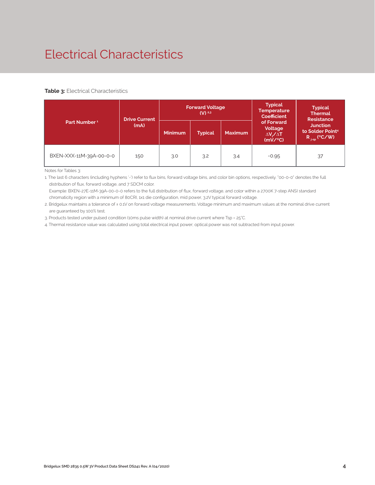### Electrical Characteristics

#### **Table 3: Electrical Characteristics**

|                          | <b>Drive Current</b>              | <b>Forward Voltage</b><br>$(V)$ 2.3 |     |                |                                                             |                                                                      |  | <b>Typical</b><br><b>Thermal</b><br><b>Resistance</b> |
|--------------------------|-----------------------------------|-------------------------------------|-----|----------------|-------------------------------------------------------------|----------------------------------------------------------------------|--|-------------------------------------------------------|
| Part Number <sup>1</sup> | (mA)<br>Minimum<br><b>Typical</b> |                                     |     | <b>Maximum</b> | of Forward<br>Voltage<br>$\Delta V \sim \Delta T$<br>(mV/C) | <b>Junction</b><br>to Solder Point <sup>4</sup><br>$R_{j-sp}$ (°C/W) |  |                                                       |
| BXEN-XXX-11M-39A-00-0-0  | 150                               | 3.0                                 | 3.2 | 3.4            | $-0.95$                                                     | 37                                                                   |  |                                                       |

Notes for Tables 3:

1. The last 6 characters (including hyphens '-') refer to flux bins, forward voltage bins, and color bin options, respectively. "00-0-0" denotes the full distribution of flux, forward voltage, and 7 SDCM color.

 Example: BXEN-27E-11M-39A-00-0-0 refers to the full distribution of flux, forward voltage, and color within a 2700K 7-step ANSI standard chromaticity region with a minimum of 80CRI, 1x1 die configuration, mid power, 3.2V typical forward voltage.

2. Bridgelux maintains a tolerance of ± 0.1V on forward voltage measurements. Voltage minimum and maximum values at the nominal drive current are guaranteed by 100% test.

3. Products tested under pulsed condition (10ms pulse width) at nominal drive current where Tsp = 25°C.

4. Thermal resistance value was calculated using total electrical input power; optical power was not subtracted from input power.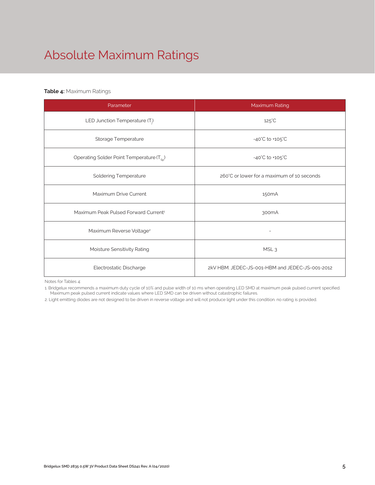## Absolute Maximum Ratings

#### **Table 4:** Maximum Ratings

| Parameter                                             | Maximum Rating                                  |  |  |  |
|-------------------------------------------------------|-------------------------------------------------|--|--|--|
| LED Junction Temperature (T.)                         | $125^{\circ}$ C                                 |  |  |  |
| Storage Temperature                                   | $-40^{\circ}$ C to $+105^{\circ}$ C             |  |  |  |
| Operating Solder Point Temperature (T <sub>Sp</sub> ) | $-40^{\circ}$ C to $+105^{\circ}$ C             |  |  |  |
| <b>Soldering Temperature</b>                          | 260°C or lower for a maximum of 10 seconds      |  |  |  |
| Maximum Drive Current                                 | 150 <sub>m</sub> A                              |  |  |  |
| Maximum Peak Pulsed Forward Current <sup>1</sup>      | 300 <sub>m</sub> A                              |  |  |  |
| Maximum Reverse Voltage <sup>2</sup>                  | $\qquad \qquad -$                               |  |  |  |
| Moisture Sensitivity Rating                           | MSL <sub>3</sub>                                |  |  |  |
| Electrostatic Discharge                               | 2kV HBM. JEDEC-JS-001-HBM and JEDEC-JS-001-2012 |  |  |  |

Notes for Tables 4:

1. Bridgelux recommends a maximum duty cycle of 10% and pulse width of 10 ms when operating LED SMD at maximum peak pulsed current specified. Maximum peak pulsed current indicate values where LED SMD can be driven without catastrophic failures.

2. Light emitting diodes are not designed to be driven in reverse voltage and will not produce light under this condition. no rating is provided.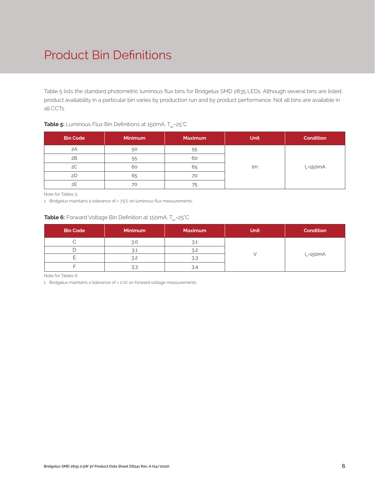### Product Bin Definitions

Table 5 lists the standard photometric luminous flux bins for Bridgelux SMD 2835 LEDs. Although several bins are listed, product availability in a particular bin varies by production run and by product performance. Not all bins are available in all CCTs.

| <b>Bin Code</b> | <b>Minimum</b> | <b>Maximum</b> | <b>Unit</b> | <b>Condition</b> |
|-----------------|----------------|----------------|-------------|------------------|
| 2A              | 50             | 55             |             |                  |
| 2B              | 55             | 60             |             |                  |
| 2C              | 60             | 65             | lm          | $I_F = 150mA$    |
| 2D              | 65             | 70             |             |                  |
| 2E              | 70             | 75             |             |                  |

#### **Table 5:** Luminous Flux Bin Definitions at 150mA, T<sub>sp</sub>=25°C

Note for Tables 5:

1. Bridgelux maintains a tolerance of  $\pm$  7.5% on luminous flux measurements.

#### **Table 6:** Forward Voltage Bin Definition at 150mA, T<sub>sp</sub>=25°C

| <b>Bin Code</b> | <b>Minimum</b> | <b>Maximum</b> | <b>Unit</b> | <b>Condition</b> |
|-----------------|----------------|----------------|-------------|------------------|
|                 | 3.0            | 3.1            |             |                  |
|                 | 4٠. ک          | 3.2            |             |                  |
|                 | 3.2            |                |             | $I_F = 150mA$    |
|                 | 3.3            |                |             |                  |

Note for Tables 6:

1. Bridgelux maintains a tolerance of ± 0.1V on forward voltage measurements.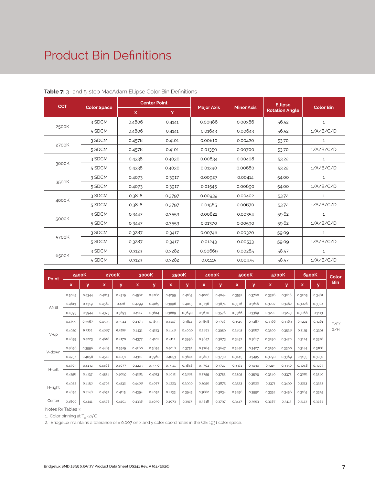### Product Bin Definitions

| <b>CCT</b> |                    |        | <b>Center Point</b> |                   |                   | <b>Ellipse</b>        |                  |
|------------|--------------------|--------|---------------------|-------------------|-------------------|-----------------------|------------------|
|            | <b>Color Space</b> | X      | Y                   | <b>Major Axis</b> | <b>Minor Axis</b> | <b>Rotation Angle</b> | <b>Color Bin</b> |
|            | 3 SDCM             | 0.4806 | 0.4141              | 0.00986           | 0.00386           | 56.52                 | $\mathbf{1}$     |
| 2500K      | 5 SDCM             | 0.4806 | 0.4141              | 0.01643           | 0.00643           | 56.52                 | 1/A/B/C/D        |
|            | 3 SDCM             | 0.4578 | 0.4101              | 0.00810           | 0.00420           | 53.70                 | $\mathbf 1$      |
| 2700K      | 5 SDCM             | 0.4578 | 0.4101              | 0.01350           | 0.00700           | 53.70                 | 1/A/B/C/D        |
|            | 3 SDCM             | 0.4338 | 0.4030              | 0.00834           | 0.00408           | 53.22                 | $\mathbf{1}$     |
| 3000K      | 5 SDCM             | 0.4338 | 0.4030              | 0.01390           | 0.00680           | 53.22                 | 1/A/B/C/D        |
|            | 3 SDCM             | 0.4073 | 0.3917              | 0.00927           | 0.00414           | 54.00                 | $\mathbf{1}$     |
| 3500K      | 5 SDCM             | 0.4073 | 0.3917              | 0.01545           | 0.00690           | 54.00                 | 1/A/B/C/D        |
|            | 3 SDCM             | 0.3818 | 0.3797              | 0.00939           | 0.00402           | 53.72                 | $\mathbf{1}$     |
| 4000K      | 5 SDCM             | 0.3818 | 0.3797              | 0.01565           | 0.00670           | 53.72                 | 1/A/B/C/D        |
|            | 3 SDCM             | 0.3447 | 0.3553              | 0.00822           | 0.00354           | 59.62                 | $\mathbf{1}$     |
| 5000K      | 5 SDCM             | 0.3447 | 0.3553              | 0.01370           | 0.00590           | 59.62                 | 1/A/B/C/D        |
|            | 3 SDCM             | 0.3287 | 0.3417              | 0.00746           | 0.00320           | 59.09                 | $\mathbf{1}$     |
| 5700K      | 5 SDCM             | 0.3287 | 0.3417              | 0.01243           | 0.00533           | 59.09                 | 1/A/B/C/D        |
|            | 3 SDCM             | 0.3123 | 0.3282              | 0.00669           | 0.00285           | 58.57                 | $\mathbf{1}$     |
| 6500K      | 5 SDCM             | 0.3123 | 0.3282              | 0.01115           | 0.00475           | 58.57                 | 1/A/B/C/D        |

#### **Table 7:** 3- and 5-step MacAdam Ellipse Color Bin Definitions

| Point       | 2500K  |        | 2700K  |        | 3000K  |        |        | 3500K  |        | 4000K<br>5000K |        | 5700K  |        | 6500K  |        | Color  |            |
|-------------|--------|--------|--------|--------|--------|--------|--------|--------|--------|----------------|--------|--------|--------|--------|--------|--------|------------|
|             | x      | У      | x      | У      | x      | У      | x      | У      | x      | У              | x      | У      | x      | У      | x      | У      | <b>Bin</b> |
|             | 0.5045 | 0.4344 | 0.4813 | 0.4319 | 0.4562 | 0.4260 | 0.4299 | 0.4165 | 0.4006 | 0.4044         | 0.3551 | 0.3760 | 0.3376 | 0.3616 | 0.3205 | 0.3481 |            |
| <b>ANSI</b> | 0.4813 | 0.4319 | 0.4562 | 0.426  | 0.4299 | 0.4165 | 0.3996 | 0.4015 | 0.3736 | 0.3874         | 0.3376 | 0.3616 | 0.3207 | 0.3462 | 0.3028 | 0.3304 |            |
|             | 0.4593 | 0.3944 | 0.4373 | 0.3893 | 0.4147 | 0.3814 | 0.3889 | 0.3690 | 0.3670 | 0.3578         | 0.3366 | 0.3369 | 0.3222 | 0.3243 | 0.3068 | 0.3113 |            |
|             | 0.4799 | 0.3967 | 0.4593 | 0.3944 | 0.4373 | 0.3893 | 0.4147 | 0.3814 | 0.3898 | 0.3716         | 0.3515 | 0.3487 | 0.3366 | 0.3369 | 0.3221 | 0.3261 | F/F/       |
|             | 0.4929 | 0.4332 | 0.4687 | 0.4289 | 0.4431 | 0.4213 | 0.4148 | 0.4090 | 0.3871 | 0.3959         | 0.3463 | 0.3687 | 0.3290 | 0.3538 | 0.3115 | 0.3391 | G/H        |
| V-up        | 0.4859 | 0.4223 | 0.4618 | 0.4170 | 0.4377 | 0.4101 | 0.4112 | 0.3996 | 0.3847 | 0.3873         | 0.3457 | 0.3617 | 0.3290 | 0.3470 | 0.3124 | 0.3328 |            |
|             | 0.4696 | 0.3956 | 0.4483 | 0.3919 | 0.4260 | 0.3854 | 0.4018 | 0.3752 | 0.3784 | 0.3647         | 0.3440 | 0.3427 | 0.3290 | 0.3300 | 0.3144 | 0.3186 |            |
| V-down      | 0.4757 | 0.4058 | 0.4542 | 0.4031 | 0.4310 | 0.3960 | 0.4053 | 0.3844 | 0.3807 | 0.3730         | 0.3445 | 0.3495 | 0.3290 | 0.3369 | 0.3135 | 0.3250 |            |
|             | 0.4703 | 0.4132 | 0.4468 | 0.4077 | 0.4223 | 0.3990 | 0.3941 | 0.3848 | 0.3702 | 0.3722         | 0.3371 | 0.3490 | 0.3215 | 0.3350 | 0.3048 | 0.3207 |            |
| H-left      | 0.4758 | 0.4137 | 0.4524 | 0.4089 | 0.4283 | 0.4013 | 0.4012 | 0.3885 | 0.3755 | 0.3755         | 0.3395 | 0.3509 | 0.3240 | 0.3372 | 0.3081 | 0.3240 |            |
|             | 0.4922 | 0.4156 | 0.4703 | 0.4132 | 0.4468 | 0.4077 | 0.4223 | 0.3990 | 0.3950 | 0.3875         | 0.3533 | 0.3620 | 0.3371 | 0.3490 | 0.3213 | 0.3373 |            |
| H-right     | 0.4854 | 0.4148 | 0.4632 | 0.4115 | 0.4394 | 0.4052 | 0.4133 | 0.3945 | 0.3880 | 0.3834         | 0.3498 | 0.3592 | 0.3334 | 0.3456 | 0.3165 | 0.3325 |            |
| Center      | 0.4806 | 0.4141 | 0.4578 | 0.4101 | 0.4338 | 0.4030 | 0.4073 | 0.3917 | 0.3818 | 0.3797         | 0.3447 | 0.3553 | 0.3287 | 0.3417 | 0.3123 | 0.3282 |            |

Notes for Tables 7:

1. Color binning at  $T_{sp}$ =25°C

2. Bridgelux maintains a tolerance of ± 0.007 on x and y color coordinates in the CIE 1931 color space.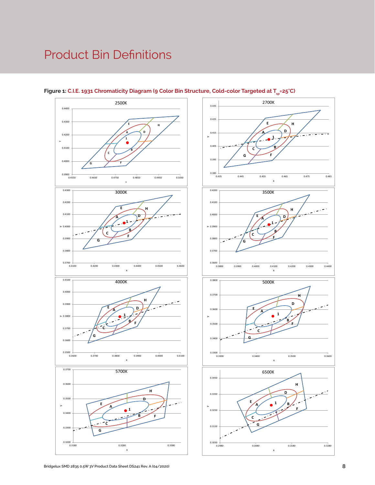### Product Bin Definitions







0.2980 0.3080 0.3180 0.3280

x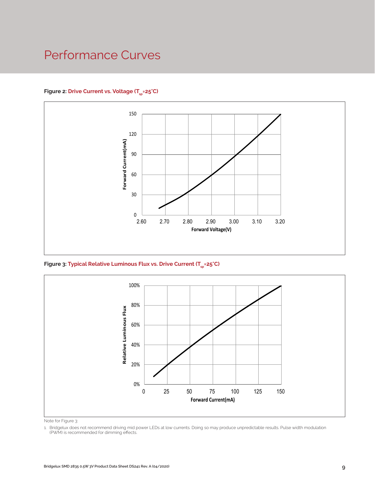### Performance Curves

#### Figure 2: Drive Current vs. Voltage (T<sub>SD</sub>=25°C)



Figure 3: Typical Relative Luminous Flux vs. Drive Current (T<sub>sp</sub>=25°C)



Note for Figure 3:

1. Bridgelux does not recommend driving mid power LEDs at low currents. Doing so may produce unpredictable results. Pulse width modulation (PWM) is recommended for dimming effects.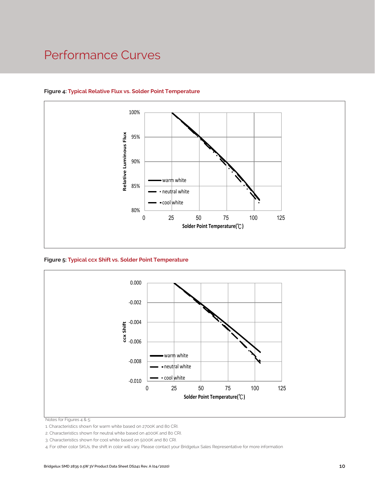### Performance Curves



#### **Figure 4: Typical Relative Flux vs. Solder Point Temperature**

**Figure 5: Typical ccx Shift vs. Solder Point Temperature**



Notes for Figures 4 & 5:

1. Characteristics shown for warm white based on 2700K and 80 CRI.

2. Characteristics shown for neutral white based on 4000K and 80 CRI.

3. Characteristics shown for cool white based on 5000K and 80 CRI.

4. For other color SKUs, the shift in color will vary. Please contact your Bridgelux Sales Representative for more information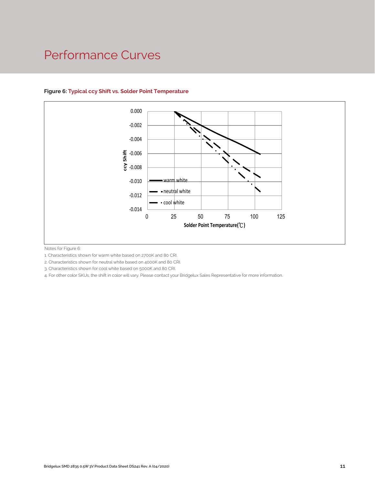### Performance Curves



#### **Figure 6: Typical ccy Shift vs. Solder Point Temperature**

Notes for Figure 6:

1. Characteristics shown for warm white based on 2700K and 80 CRI.

2. Characteristics shown for neutral white based on 4000K and 80 CRI.

3. Characteristics shown for cool white based on 5000K and 80 CRI.

4. For other color SKUs, the shift in color will vary. Please contact your Bridgelux Sales Representative for more information.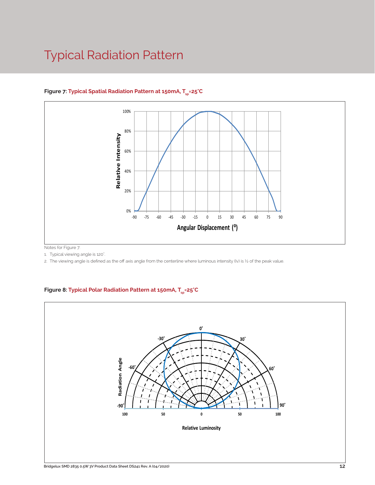### Typical Radiation Pattern



#### Figure 7: Typical Spatial Radiation Pattern at 150mA, T<sub>sp</sub>=25°C

Notes for Figure 7:

1. Typical viewing angle is 120°. .

2. The viewing angle is defined as the off axis angle from the centerline where luminous intensity (Iv) is ½ of the peak value.

#### Figure 8: Typical Polar Radiation Pattern at 150mA, T<sub>sp</sub>=25°C

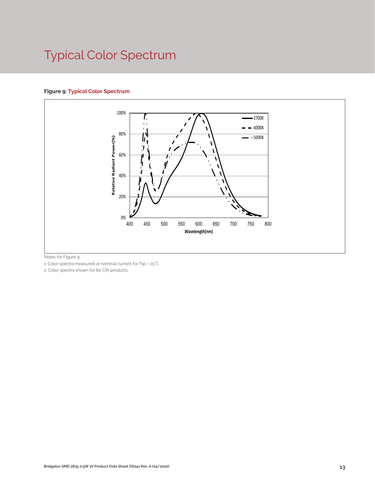## Typical Color Spectrum

#### **Figure 9: Typical Color Spectrum**



Notes for Figure 9:

1. Color spectra measured at nominal current for Tsp = 25°C

2. Color spectra shown for 80 CRI products.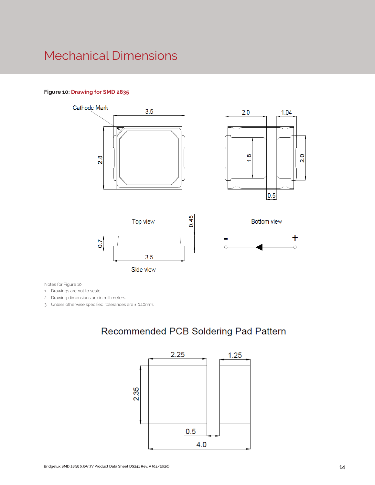### Mechanical Dimensions

#### **Figure 10: Drawing for SMD 2835**



Notes for Figure 10:

1. Drawings are not to scale.

2. Drawing dimensions are in millimeters.

3. Unless otherwise specified, tolerances are ± 0.10mm.

### Recommended PCB Soldering Pad Pattern

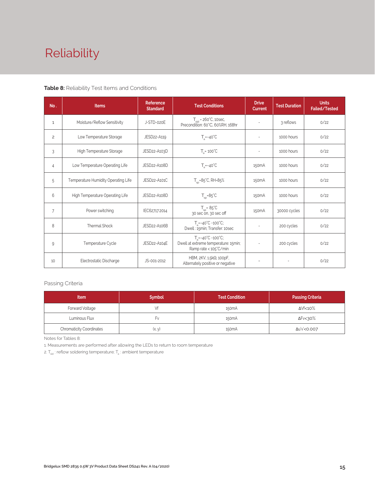## Reliability

#### **Table 8:** Reliability Test Items and Conditions

| No.            | <b>Items</b>                        | <b>Reference</b><br><b>Standard</b> | <b>Test Conditions</b>                                                                                 | <b>Drive</b><br><b>Current</b> | <b>Test Duration</b> | <b>Units</b><br>Failed/Tested |
|----------------|-------------------------------------|-------------------------------------|--------------------------------------------------------------------------------------------------------|--------------------------------|----------------------|-------------------------------|
| 1              | Moisture/Reflow Sensitivity         | J-STD-020E                          | $T_{\text{cld}}$ = 260°C, 10sec,<br>Precondition: 60°C, 60%RH, 168hr                                   | $\sim$                         | 3 reflows            | 0/22                          |
| $\overline{c}$ | Low Temperature Storage             | JESD22-A119                         | $T_a = -40^{\circ}C$                                                                                   | $\bar{a}$                      | 1000 hours           | 0/22                          |
| 3              | High Temperature Storage            | JESD22-A103D                        | $T_a = 100^{\circ}$ C                                                                                  | $\sim$                         | 1000 hours           | 0/22                          |
| 4              | Low Temperature Operating Life      | JESD22-A108D                        | $T_s = -40^{\circ}C$                                                                                   | 150 <sub>m</sub> A             | 1000 hours           | 0/22                          |
| 5              | Temperature Humidity Operating Life | JESD22-A101C                        | $T_{SD} = 85^{\circ}$ C, RH=85%                                                                        |                                | 1000 hours           | 0/22                          |
| 6              | High Temperature Operating Life     | JESD22-A108D                        | $T_{\rm sn} = 85^{\circ}C$                                                                             | 150 <sub>m</sub> A             | 1000 hours           | 0/22                          |
| $\overline{7}$ | Power switching                     | IEC62717:2014                       | $T_{\rm SD} = 85^{\circ}C$<br>30 sec on, 30 sec off                                                    | 150 <sub>m</sub> A             | 30000 cycles         | 0/22                          |
| 8              | <b>Thermal Shock</b>                | JESD22-A106B                        | $T_a = -40^{\circ}C - 100^{\circ}C$ ;<br>Dwell: 15min; Transfer: 10sec                                 | $\sim$                         | 200 cycles           | 0/22                          |
| 9              | Temperature Cycle                   | JESD22-A104E                        | $T_a = -40^{\circ}C - 100^{\circ}C$ ;<br>Dwell at extreme temperature: 15min;<br>Ramp rate < 105°C/min |                                | 200 cycles           | 0/22                          |
| 10             | Electrostatic Discharge             | JS-001-2012                         | HBM, $2KV$ , $1.5k\Omega$ , 100pF,<br>Alternately positive or negative                                 | $\overline{\phantom{a}}$       |                      | 0/22                          |

#### Passing Criteria

| <b>Item</b>                     | <b>Symbol</b> | <b>Test Condition</b> | <b>Passing Criteria</b> |
|---------------------------------|---------------|-----------------------|-------------------------|
| Forward Voltage                 |               | 150 <sub>m</sub> A    | ΔVf<10%                 |
| Luminous Flux                   | ۲v            | 150 <sub>m</sub> A    | ΔFν<30%                 |
| <b>Chromaticity Coordinates</b> | (x, y)        | 150 <sub>m</sub> A    | Δu'v'<0.007             |

Notes for Tables 8:

1. Measurements are performed after allowing the LEDs to return to room temperature

2.  $\mathsf{T}_{_{\mathsf{std}}}$  : reflow soldering temperature;  $\mathsf{T}_{_{\!\mathsf{a}}}$  : ambient temperature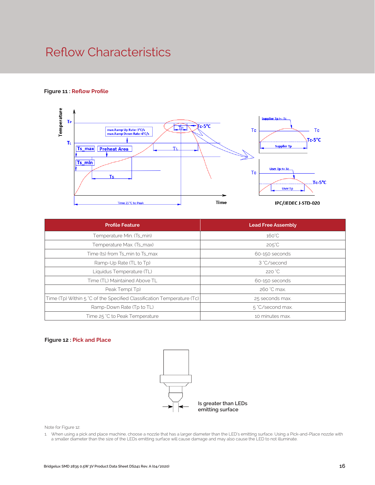### Reflow Characteristics

#### **Figure 11 : Reflow Profile**



| <b>Profile Feature</b>                                                 | <b>Lead Free Assembly</b> |
|------------------------------------------------------------------------|---------------------------|
| Temperature Min. (Ts_min)                                              | $160^{\circ}$ C           |
| Temperature Max. (Ts_max)                                              | $205^{\circ}$ C           |
| Time (ts) from Ts_min to Ts_max                                        | 60-150 seconds            |
| Ramp-Up Rate (TL to Tp)                                                | 3 °C/second               |
| Liquidus Temperature (TL)                                              | 220 °C                    |
| Time (TL) Maintained Above TL                                          | 60-150 seconds            |
| Peak Temp(Tp)                                                          | 260 °C max.               |
| Time (Tp) Within 5 °C of the Specified Classification Temperature (Tc) | 25 seconds max.           |
| Ramp-Down Rate (Tp to TL)                                              | 5 °C/second max.          |
| Time 25 °C to Peak Temperature                                         | 10 minutes max.           |

#### **Figure 12 : Pick and Place**



Note for Figure 12:

1. When using a pick and place machine, choose a nozzle that has a larger diameter than the LED's emitting surface. Using a Pick-and-Place nozzle with a smaller diameter than the size of the LEDs emitting surface will cause damage and may also cause the LED to not illuminate.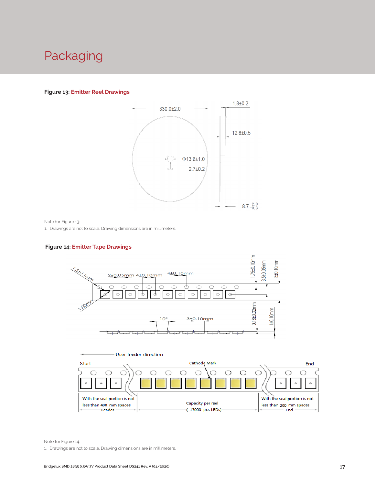### Packaging

#### **Figure 13: Emitter Reel Drawings**



Note for Figure 13:

1. Drawings are not to scale. Drawing dimensions are in millimeters.

#### **Figure 14: Emitter Tape Drawings**





Note for Figure 14:

1. Drawings are not to scale. Drawing dimensions are in millimeters.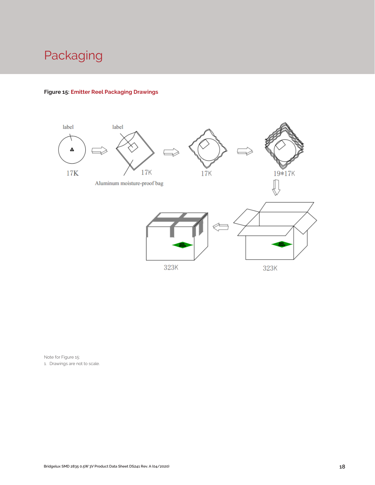### Packaging

#### **Figure 15: Emitter Reel Packaging Drawings**



Note for Figure 15: 1. Drawings are not to scale.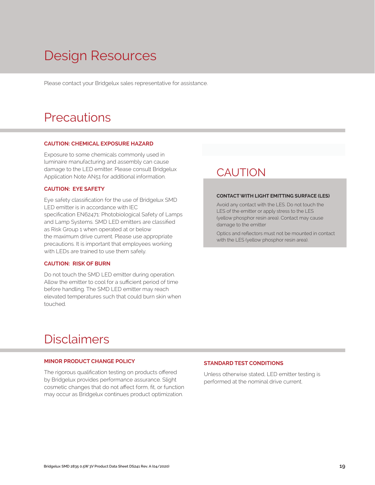## Design Resources

Please contact your Bridgelux sales representative for assistance.

### **Precautions**

#### **CAUTION: CHEMICAL EXPOSURE HAZARD**

Exposure to some chemicals commonly used in luminaire manufacturing and assembly can cause damage to the LED emitter. Please consult Bridgelux Application Note AN51 for additional information.

#### **CAUTION: EYE SAFETY**

Eye safety classification for the use of Bridgelux SMD LED emitter is in accordance with IEC specification EN62471: Photobiological Safety of Lamps and Lamp Systems. SMD LED emitters are classified as Risk Group 1 when operated at or below the maximum drive current. Please use appropriate precautions. It is important that employees working with LEDs are trained to use them safely.

#### **CAUTION: RISK OF BURN**

Do not touch the SMD LED emitter during operation. Allow the emitter to cool for a sufficient period of time before handling. The SMD LED emitter may reach elevated temperatures such that could burn skin when touched.

### **CAUTION**

#### **CONTACT WITH LIGHT EMITTING SURFACE (LES)**

Avoid any contact with the LES. Do not touch the LES of the emitter or apply stress to the LES (yellow phosphor resin area). Contact may cause damage to the emitter

Optics and reflectors must not be mounted in contact with the LES (yellow phosphor resin area).

### Disclaimers

#### **MINOR PRODUCT CHANGE POLICY**

The rigorous qualification testing on products offered by Bridgelux provides performance assurance. Slight cosmetic changes that do not affect form, fit, or function may occur as Bridgelux continues product optimization.

#### **STANDARD TEST CONDITIONS**

Unless otherwise stated, LED emitter testing is performed at the nominal drive current.